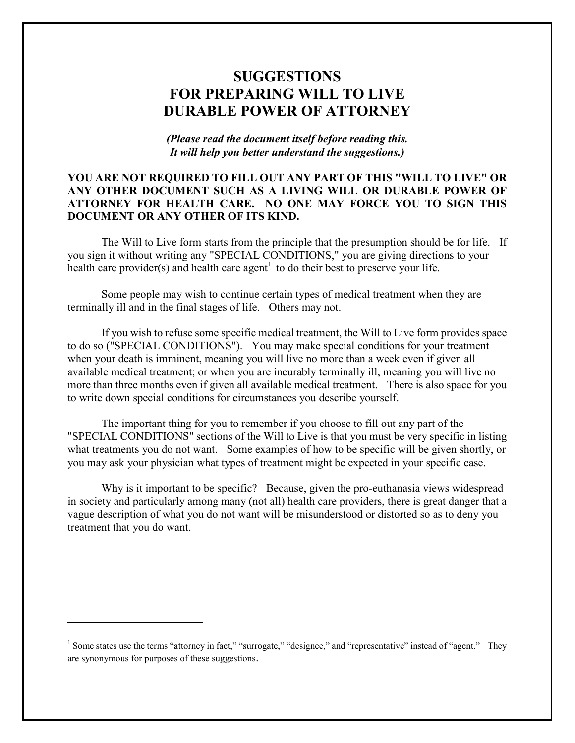# **SUGGESTIONS FOR PREPARING WILL TO LIVE DURABLE POWER OF ATTORNEY**

*(Please read the document itself before reading this. It will help you better understand the suggestions.)*

# **YOU ARE NOT REQUIRED TO FILL OUT ANY PART OF THIS "WILL TO LIVE" OR ANY OTHER DOCUMENT SUCH AS A LIVING WILL OR DURABLE POWER OF ATTORNEY FOR HEALTH CARE. NO ONE MAY FORCE YOU TO SIGN THIS DOCUMENT OR ANY OTHER OF ITS KIND.**

The Will to Live form starts from the principle that the presumption should be for life. If you sign it without writing any "SPECIAL CONDITIONS," you are giving directions to your health care provider(s) and health care agent<sup>1</sup> to do their best to preserve your life.

Some people may wish to continue certain types of medical treatment when they are terminally ill and in the final stages of life. Others may not.

If you wish to refuse some specific medical treatment, the Will to Live form provides space to do so ("SPECIAL CONDITIONS"). You may make special conditions for your treatment when your death is imminent, meaning you will live no more than a week even if given all available medical treatment; or when you are incurably terminally ill, meaning you will live no more than three months even if given all available medical treatment. There is also space for you to write down special conditions for circumstances you describe yourself.

The important thing for you to remember if you choose to fill out any part of the "SPECIAL CONDITIONS" sections of the Will to Live is that you must be very specific in listing what treatments you do not want. Some examples of how to be specific will be given shortly, or you may ask your physician what types of treatment might be expected in your specific case.

Why is it important to be specific? Because, given the pro-euthanasia views widespread in society and particularly among many (not all) health care providers, there is great danger that a vague description of what you do not want will be misunderstood or distorted so as to deny you treatment that you do want.

 $\overline{a}$ 

<sup>&</sup>lt;sup>1</sup> Some states use the terms "attorney in fact," "surrogate," "designee," and "representative" instead of "agent." They are synonymous for purposes of these suggestions.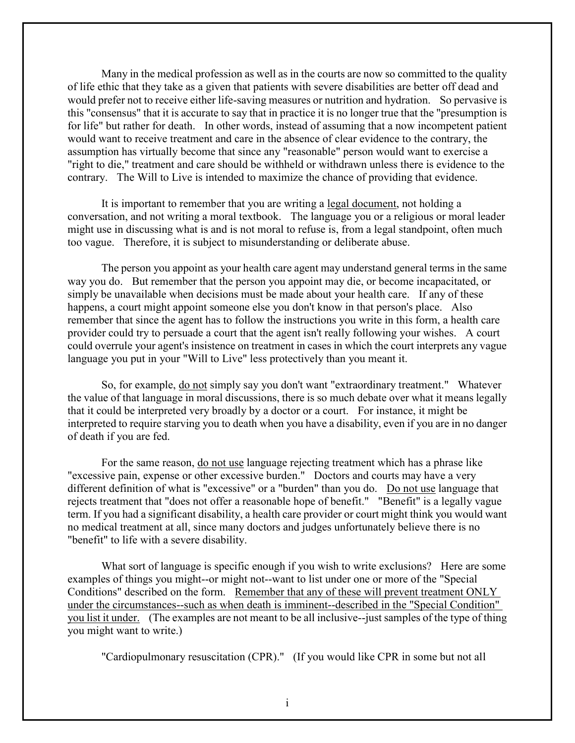Many in the medical profession as well as in the courts are now so committed to the quality of life ethic that they take as a given that patients with severe disabilities are better off dead and would prefer not to receive either life-saving measures or nutrition and hydration. So pervasive is this "consensus" that it is accurate to say that in practice it is no longer true that the "presumption is for life" but rather for death. In other words, instead of assuming that a now incompetent patient would want to receive treatment and care in the absence of clear evidence to the contrary, the assumption has virtually become that since any "reasonable" person would want to exercise a "right to die," treatment and care should be withheld or withdrawn unless there is evidence to the contrary. The Will to Live is intended to maximize the chance of providing that evidence.

It is important to remember that you are writing a legal document, not holding a conversation, and not writing a moral textbook. The language you or a religious or moral leader might use in discussing what is and is not moral to refuse is, from a legal standpoint, often much too vague. Therefore, it is subject to misunderstanding or deliberate abuse.

The person you appoint as your health care agent may understand general terms in the same way you do. But remember that the person you appoint may die, or become incapacitated, or simply be unavailable when decisions must be made about your health care. If any of these happens, a court might appoint someone else you don't know in that person's place. Also remember that since the agent has to follow the instructions you write in this form, a health care provider could try to persuade a court that the agent isn't really following your wishes. A court could overrule your agent's insistence on treatment in cases in which the court interprets any vague language you put in your "Will to Live" less protectively than you meant it.

So, for example, do not simply say you don't want "extraordinary treatment." Whatever the value of that language in moral discussions, there is so much debate over what it means legally that it could be interpreted very broadly by a doctor or a court. For instance, it might be interpreted to require starving you to death when you have a disability, even if you are in no danger of death if you are fed.

For the same reason, do not use language rejecting treatment which has a phrase like "excessive pain, expense or other excessive burden." Doctors and courts may have a very different definition of what is "excessive" or a "burden" than you do. Do not use language that rejects treatment that "does not offer a reasonable hope of benefit." "Benefit" is a legally vague term. If you had a significant disability, a health care provider or court might think you would want no medical treatment at all, since many doctors and judges unfortunately believe there is no "benefit" to life with a severe disability.

What sort of language is specific enough if you wish to write exclusions? Here are some examples of things you might--or might not--want to list under one or more of the "Special Conditions" described on the form. Remember that any of these will prevent treatment ONLY under the circumstances--such as when death is imminent--described in the "Special Condition" you list it under. (The examples are not meant to be all inclusive--just samples of the type of thing you might want to write.)

"Cardiopulmonary resuscitation (CPR)." (If you would like CPR in some but not all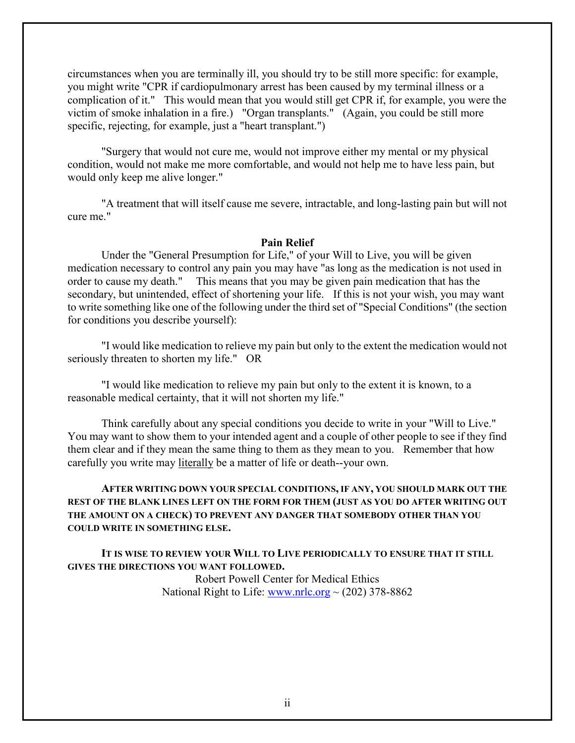circumstances when you are terminally ill, you should try to be still more specific: for example, you might write "CPR if cardiopulmonary arrest has been caused by my terminal illness or a complication of it." This would mean that you would still get CPR if, for example, you were the victim of smoke inhalation in a fire.) "Organ transplants." (Again, you could be still more specific, rejecting, for example, just a "heart transplant.")

"Surgery that would not cure me, would not improve either my mental or my physical condition, would not make me more comfortable, and would not help me to have less pain, but would only keep me alive longer."

"A treatment that will itself cause me severe, intractable, and long-lasting pain but will not cure me."

#### **Pain Relief**

Under the "General Presumption for Life," of your Will to Live, you will be given medication necessary to control any pain you may have "as long as the medication is not used in order to cause my death." This means that you may be given pain medication that has the secondary, but unintended, effect of shortening your life. If this is not your wish, you may want to write something like one of the following under the third set of "Special Conditions" (the section for conditions you describe yourself):

"I would like medication to relieve my pain but only to the extent the medication would not seriously threaten to shorten my life." OR

"I would like medication to relieve my pain but only to the extent it is known, to a reasonable medical certainty, that it will not shorten my life."

Think carefully about any special conditions you decide to write in your "Will to Live." You may want to show them to your intended agent and a couple of other people to see if they find them clear and if they mean the same thing to them as they mean to you. Remember that how carefully you write may literally be a matter of life or death--your own.

### **AFTER WRITING DOWN YOUR SPECIAL CONDITIONS, IF ANY, YOU SHOULD MARK OUT THE REST OF THE BLANK LINES LEFT ON THE FORM FOR THEM (JUST AS YOU DO AFTER WRITING OUT THE AMOUNT ON A CHECK) TO PREVENT ANY DANGER THAT SOMEBODY OTHER THAN YOU COULD WRITE IN SOMETHING ELSE.**

**IT IS WISE TO REVIEW YOUR WILL TO LIVE PERIODICALLY TO ENSURE THAT IT STILL GIVES THE DIRECTIONS YOU WANT FOLLOWED.**

> Robert Powell Center for Medical Ethics National Right to Life:  $\frac{www.nrlc.org}{202}$  378-8862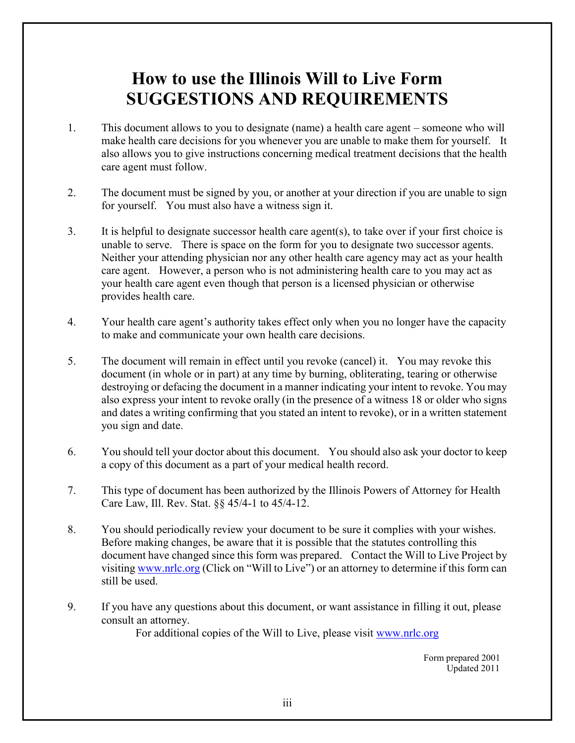# **How to use the Illinois Will to Live Form SUGGESTIONS AND REQUIREMENTS**

- 1. This document allows to you to designate (name) a health care agent someone who will make health care decisions for you whenever you are unable to make them for yourself. It also allows you to give instructions concerning medical treatment decisions that the health care agent must follow.
- 2. The document must be signed by you, or another at your direction if you are unable to sign for yourself. You must also have a witness sign it.
- 3. It is helpful to designate successor health care agent(s), to take over if your first choice is unable to serve. There is space on the form for you to designate two successor agents. Neither your attending physician nor any other health care agency may act as your health care agent. However, a person who is not administering health care to you may act as your health care agent even though that person is a licensed physician or otherwise provides health care.
- 4. Your health care agent's authority takes effect only when you no longer have the capacity to make and communicate your own health care decisions.
- 5. The document will remain in effect until you revoke (cancel) it. You may revoke this document (in whole or in part) at any time by burning, obliterating, tearing or otherwise destroying or defacing the document in a manner indicating your intent to revoke. You may also express your intent to revoke orally (in the presence of a witness 18 or older who signs and dates a writing confirming that you stated an intent to revoke), or in a written statement you sign and date.
- 6. You should tell your doctor about this document. You should also ask your doctor to keep a copy of this document as a part of your medical health record.
- 7. This type of document has been authorized by the Illinois Powers of Attorney for Health Care Law, Ill. Rev. Stat. §§ 45/4-1 to 45/4-12.
- 8. You should periodically review your document to be sure it complies with your wishes. Before making changes, be aware that it is possible that the statutes controlling this document have changed since this form was prepared. Contact the Will to Live Project by visiting www.nrlc.org (Click on "Will to Live") or an attorney to determine if this form can still be used.
- 9. If you have any questions about this document, or want assistance in filling it out, please consult an attorney.

For additional copies of the Will to Live, please visit [www.nrlc.org](http://www.nrlc.org/)

 Form prepared 2001 Updated 2011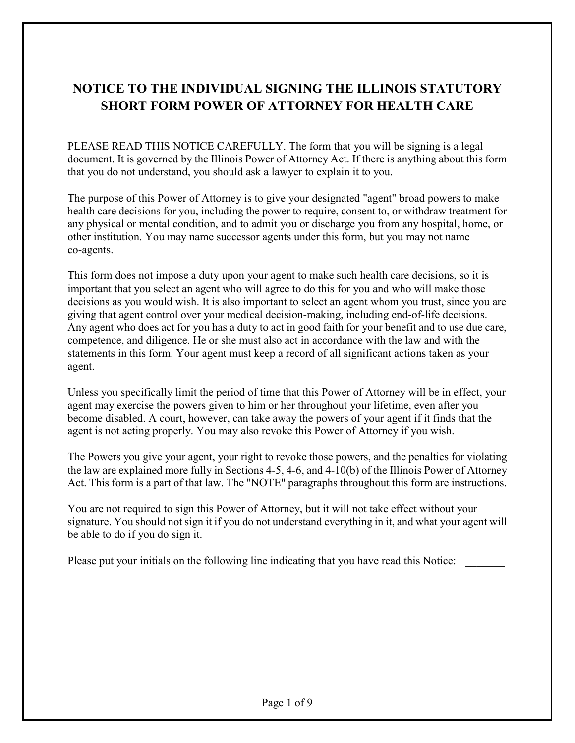# **NOTICE TO THE INDIVIDUAL SIGNING THE ILLINOIS STATUTORY SHORT FORM POWER OF ATTORNEY FOR HEALTH CARE**

PLEASE READ THIS NOTICE CAREFULLY. The form that you will be signing is a legal document. It is governed by the Illinois Power of Attorney Act. If there is anything about this form that you do not understand, you should ask a lawyer to explain it to you.

The purpose of this Power of Attorney is to give your designated "agent" broad powers to make health care decisions for you, including the power to require, consent to, or withdraw treatment for any physical or mental condition, and to admit you or discharge you from any hospital, home, or other institution. You may name successor agents under this form, but you may not name co-agents.

This form does not impose a duty upon your agent to make such health care decisions, so it is important that you select an agent who will agree to do this for you and who will make those decisions as you would wish. It is also important to select an agent whom you trust, since you are giving that agent control over your medical decision-making, including end-of-life decisions. Any agent who does act for you has a duty to act in good faith for your benefit and to use due care, competence, and diligence. He or she must also act in accordance with the law and with the statements in this form. Your agent must keep a record of all significant actions taken as your agent.

Unless you specifically limit the period of time that this Power of Attorney will be in effect, your agent may exercise the powers given to him or her throughout your lifetime, even after you become disabled. A court, however, can take away the powers of your agent if it finds that the agent is not acting properly. You may also revoke this Power of Attorney if you wish.

The Powers you give your agent, your right to revoke those powers, and the penalties for violating the law are explained more fully in Sections 4-5, 4-6, and 4-10(b) of the Illinois Power of Attorney Act. This form is a part of that law. The "NOTE" paragraphs throughout this form are instructions.

You are not required to sign this Power of Attorney, but it will not take effect without your signature. You should not sign it if you do not understand everything in it, and what your agent will be able to do if you do sign it.

Please put your initials on the following line indicating that you have read this Notice: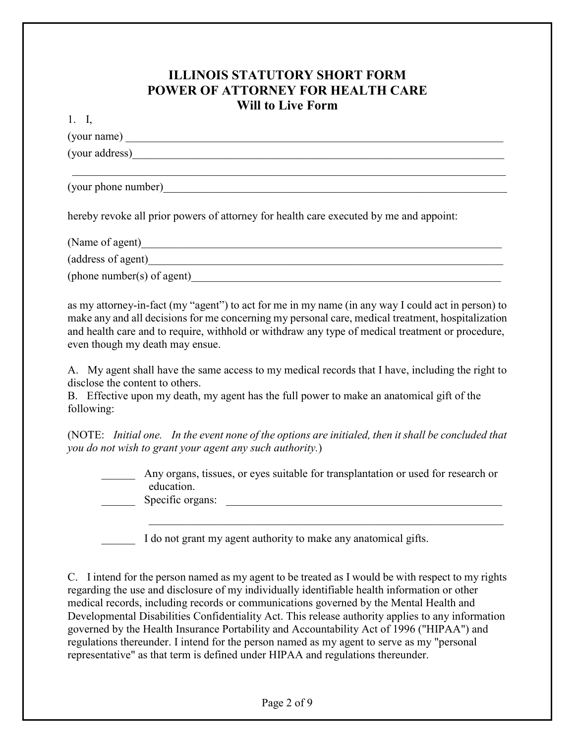# **ILLINOIS STATUTORY SHORT FORM POWER OF ATTORNEY FOR HEALTH CARE Will to Live Form**

 $1 \quad I$ 

| (your name)         |  |  |
|---------------------|--|--|
| (your address)      |  |  |
|                     |  |  |
| (your phone number) |  |  |

hereby revoke all prior powers of attorney for health care executed by me and appoint:

| (Name of agent)            |  |
|----------------------------|--|
| (address of agent)         |  |
| (phone number(s) of agent) |  |

as my attorney-in-fact (my "agent") to act for me in my name (in any way I could act in person) to make any and all decisions for me concerning my personal care, medical treatment, hospitalization and health care and to require, withhold or withdraw any type of medical treatment or procedure, even though my death may ensue.

A. My agent shall have the same access to my medical records that I have, including the right to disclose the content to others.

B. Effective upon my death, my agent has the full power to make an anatomical gift of the following:

(NOTE: *Initial one. In the event none of the options are initialed, then it shall be concluded that you do not wish to grant your agent any such authority.*)

Any organs, tissues, or eyes suitable for transplantation or used for research or education. Specific organs:

 $\mathcal{L}_\text{max}$  , and the contribution of the contribution of the contribution of the contribution of the contribution of the contribution of the contribution of the contribution of the contribution of the contribution of t

I do not grant my agent authority to make any anatomical gifts.

C. I intend for the person named as my agent to be treated as I would be with respect to my rights regarding the use and disclosure of my individually identifiable health information or other medical records, including records or communications governed by the Mental Health and Developmental Disabilities Confidentiality Act. This release authority applies to any information governed by the Health Insurance Portability and Accountability Act of 1996 ("HIPAA") and regulations thereunder. I intend for the person named as my agent to serve as my "personal representative" as that term is defined under HIPAA and regulations thereunder.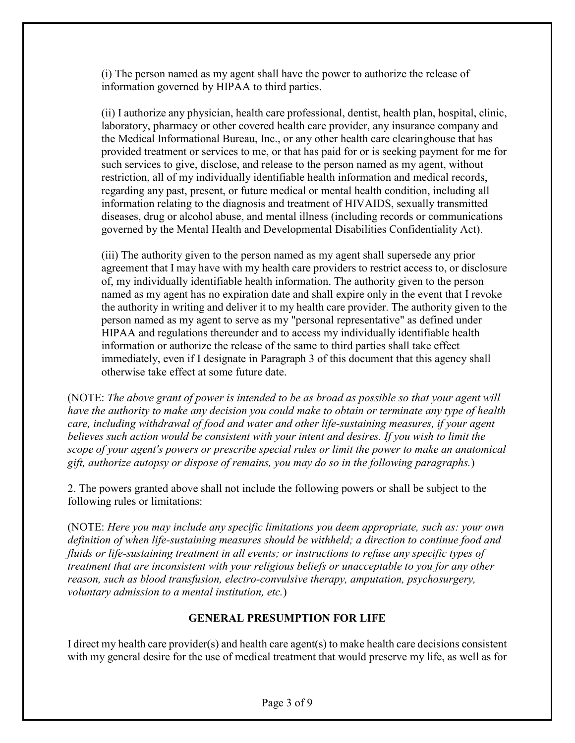(i) The person named as my agent shall have the power to authorize the release of information governed by HIPAA to third parties.

(ii) I authorize any physician, health care professional, dentist, health plan, hospital, clinic, laboratory, pharmacy or other covered health care provider, any insurance company and the Medical Informational Bureau, Inc., or any other health care clearinghouse that has provided treatment or services to me, or that has paid for or is seeking payment for me for such services to give, disclose, and release to the person named as my agent, without restriction, all of my individually identifiable health information and medical records, regarding any past, present, or future medical or mental health condition, including all information relating to the diagnosis and treatment of HIVAIDS, sexually transmitted diseases, drug or alcohol abuse, and mental illness (including records or communications governed by the Mental Health and Developmental Disabilities Confidentiality Act).

(iii) The authority given to the person named as my agent shall supersede any prior agreement that I may have with my health care providers to restrict access to, or disclosure of, my individually identifiable health information. The authority given to the person named as my agent has no expiration date and shall expire only in the event that I revoke the authority in writing and deliver it to my health care provider. The authority given to the person named as my agent to serve as my "personal representative" as defined under HIPAA and regulations thereunder and to access my individually identifiable health information or authorize the release of the same to third parties shall take effect immediately, even if I designate in Paragraph 3 of this document that this agency shall otherwise take effect at some future date.

(NOTE: *The above grant of power is intended to be as broad as possible so that your agent will have the authority to make any decision you could make to obtain or terminate any type of health care, including withdrawal of food and water and other life-sustaining measures, if your agent believes such action would be consistent with your intent and desires. If you wish to limit the scope of your agent's powers or prescribe special rules or limit the power to make an anatomical gift, authorize autopsy or dispose of remains, you may do so in the following paragraphs.*)

2. The powers granted above shall not include the following powers or shall be subject to the following rules or limitations:

(NOTE: *Here you may include any specific limitations you deem appropriate, such as: your own definition of when life-sustaining measures should be withheld; a direction to continue food and fluids or life-sustaining treatment in all events; or instructions to refuse any specific types of treatment that are inconsistent with your religious beliefs or unacceptable to you for any other reason, such as blood transfusion, electro-convulsive therapy, amputation, psychosurgery, voluntary admission to a mental institution, etc.*)

# **GENERAL PRESUMPTION FOR LIFE**

I direct my health care provider(s) and health care agent(s) to make health care decisions consistent with my general desire for the use of medical treatment that would preserve my life, as well as for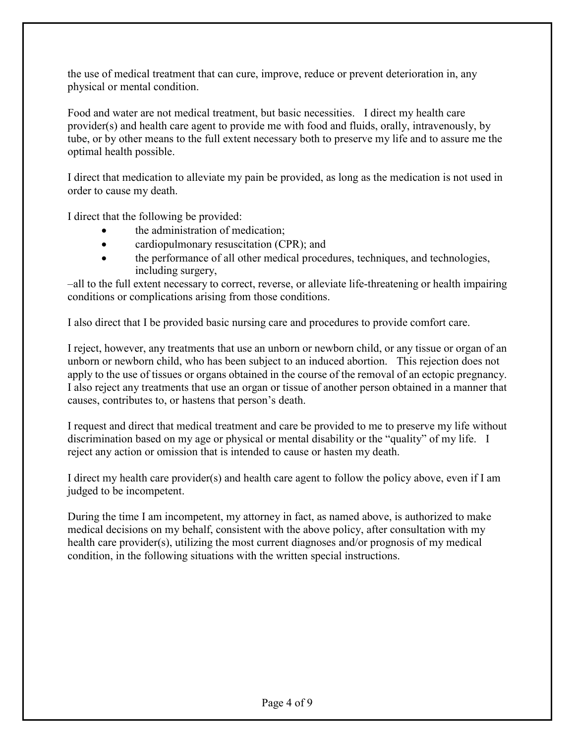the use of medical treatment that can cure, improve, reduce or prevent deterioration in, any physical or mental condition.

Food and water are not medical treatment, but basic necessities. I direct my health care provider(s) and health care agent to provide me with food and fluids, orally, intravenously, by tube, or by other means to the full extent necessary both to preserve my life and to assure me the optimal health possible.

I direct that medication to alleviate my pain be provided, as long as the medication is not used in order to cause my death.

I direct that the following be provided:

- the administration of medication;
- cardiopulmonary resuscitation (CPR); and
- the performance of all other medical procedures, techniques, and technologies, including surgery,

–all to the full extent necessary to correct, reverse, or alleviate life-threatening or health impairing conditions or complications arising from those conditions.

I also direct that I be provided basic nursing care and procedures to provide comfort care.

I reject, however, any treatments that use an unborn or newborn child, or any tissue or organ of an unborn or newborn child, who has been subject to an induced abortion. This rejection does not apply to the use of tissues or organs obtained in the course of the removal of an ectopic pregnancy. I also reject any treatments that use an organ or tissue of another person obtained in a manner that causes, contributes to, or hastens that person's death.

I request and direct that medical treatment and care be provided to me to preserve my life without discrimination based on my age or physical or mental disability or the "quality" of my life. I reject any action or omission that is intended to cause or hasten my death.

I direct my health care provider(s) and health care agent to follow the policy above, even if I am judged to be incompetent.

During the time I am incompetent, my attorney in fact, as named above, is authorized to make medical decisions on my behalf, consistent with the above policy, after consultation with my health care provider(s), utilizing the most current diagnoses and/or prognosis of my medical condition, in the following situations with the written special instructions.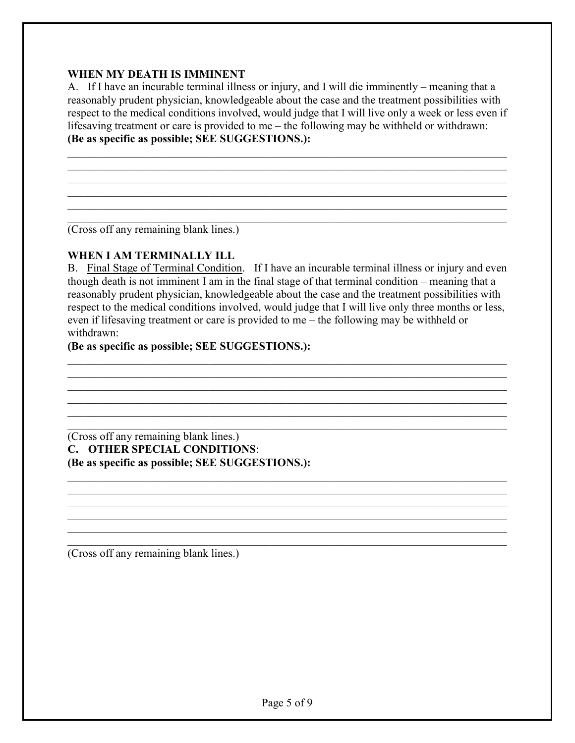# **WHEN MY DEATH IS IMMINENT**

A. If I have an incurable terminal illness or injury, and I will die imminently – meaning that a reasonably prudent physician, knowledgeable about the case and the treatment possibilities with respect to the medical conditions involved, would judge that I will live only a week or less even if lifesaving treatment or care is provided to me – the following may be withheld or withdrawn: **(Be as specific as possible; SEE SUGGESTIONS.):**

 $\mathcal{L}_\mathcal{L} = \{ \mathcal{L}_\mathcal{L} = \{ \mathcal{L}_\mathcal{L} = \{ \mathcal{L}_\mathcal{L} = \{ \mathcal{L}_\mathcal{L} = \{ \mathcal{L}_\mathcal{L} = \{ \mathcal{L}_\mathcal{L} = \{ \mathcal{L}_\mathcal{L} = \{ \mathcal{L}_\mathcal{L} = \{ \mathcal{L}_\mathcal{L} = \{ \mathcal{L}_\mathcal{L} = \{ \mathcal{L}_\mathcal{L} = \{ \mathcal{L}_\mathcal{L} = \{ \mathcal{L}_\mathcal{L} = \{ \mathcal{L}_\mathcal{$  $\mathcal{L}_\mathcal{L} = \{ \mathcal{L}_\mathcal{L} = \{ \mathcal{L}_\mathcal{L} = \{ \mathcal{L}_\mathcal{L} = \{ \mathcal{L}_\mathcal{L} = \{ \mathcal{L}_\mathcal{L} = \{ \mathcal{L}_\mathcal{L} = \{ \mathcal{L}_\mathcal{L} = \{ \mathcal{L}_\mathcal{L} = \{ \mathcal{L}_\mathcal{L} = \{ \mathcal{L}_\mathcal{L} = \{ \mathcal{L}_\mathcal{L} = \{ \mathcal{L}_\mathcal{L} = \{ \mathcal{L}_\mathcal{L} = \{ \mathcal{L}_\mathcal{$  $\mathcal{L}_\mathcal{L} = \{ \mathcal{L}_\mathcal{L} = \{ \mathcal{L}_\mathcal{L} = \{ \mathcal{L}_\mathcal{L} = \{ \mathcal{L}_\mathcal{L} = \{ \mathcal{L}_\mathcal{L} = \{ \mathcal{L}_\mathcal{L} = \{ \mathcal{L}_\mathcal{L} = \{ \mathcal{L}_\mathcal{L} = \{ \mathcal{L}_\mathcal{L} = \{ \mathcal{L}_\mathcal{L} = \{ \mathcal{L}_\mathcal{L} = \{ \mathcal{L}_\mathcal{L} = \{ \mathcal{L}_\mathcal{L} = \{ \mathcal{L}_\mathcal{$  $\mathcal{L}_\mathcal{L} = \{ \mathcal{L}_\mathcal{L} = \{ \mathcal{L}_\mathcal{L} = \{ \mathcal{L}_\mathcal{L} = \{ \mathcal{L}_\mathcal{L} = \{ \mathcal{L}_\mathcal{L} = \{ \mathcal{L}_\mathcal{L} = \{ \mathcal{L}_\mathcal{L} = \{ \mathcal{L}_\mathcal{L} = \{ \mathcal{L}_\mathcal{L} = \{ \mathcal{L}_\mathcal{L} = \{ \mathcal{L}_\mathcal{L} = \{ \mathcal{L}_\mathcal{L} = \{ \mathcal{L}_\mathcal{L} = \{ \mathcal{L}_\mathcal{$  $\mathcal{L}_\mathcal{L} = \{ \mathcal{L}_\mathcal{L} = \{ \mathcal{L}_\mathcal{L} = \{ \mathcal{L}_\mathcal{L} = \{ \mathcal{L}_\mathcal{L} = \{ \mathcal{L}_\mathcal{L} = \{ \mathcal{L}_\mathcal{L} = \{ \mathcal{L}_\mathcal{L} = \{ \mathcal{L}_\mathcal{L} = \{ \mathcal{L}_\mathcal{L} = \{ \mathcal{L}_\mathcal{L} = \{ \mathcal{L}_\mathcal{L} = \{ \mathcal{L}_\mathcal{L} = \{ \mathcal{L}_\mathcal{L} = \{ \mathcal{L}_\mathcal{$  $\mathcal{L}_\mathcal{L} = \{ \mathcal{L}_\mathcal{L} = \{ \mathcal{L}_\mathcal{L} = \{ \mathcal{L}_\mathcal{L} = \{ \mathcal{L}_\mathcal{L} = \{ \mathcal{L}_\mathcal{L} = \{ \mathcal{L}_\mathcal{L} = \{ \mathcal{L}_\mathcal{L} = \{ \mathcal{L}_\mathcal{L} = \{ \mathcal{L}_\mathcal{L} = \{ \mathcal{L}_\mathcal{L} = \{ \mathcal{L}_\mathcal{L} = \{ \mathcal{L}_\mathcal{L} = \{ \mathcal{L}_\mathcal{L} = \{ \mathcal{L}_\mathcal{$ 

(Cross off any remaining blank lines.)

## **WHEN I AM TERMINALLY ILL**

B. Final Stage of Terminal Condition. If I have an incurable terminal illness or injury and even though death is not imminent I am in the final stage of that terminal condition – meaning that a reasonably prudent physician, knowledgeable about the case and the treatment possibilities with respect to the medical conditions involved, would judge that I will live only three months or less, even if lifesaving treatment or care is provided to me – the following may be withheld or withdrawn:

 $\mathcal{L}_\mathcal{L} = \{ \mathcal{L}_\mathcal{L} = \{ \mathcal{L}_\mathcal{L} = \{ \mathcal{L}_\mathcal{L} = \{ \mathcal{L}_\mathcal{L} = \{ \mathcal{L}_\mathcal{L} = \{ \mathcal{L}_\mathcal{L} = \{ \mathcal{L}_\mathcal{L} = \{ \mathcal{L}_\mathcal{L} = \{ \mathcal{L}_\mathcal{L} = \{ \mathcal{L}_\mathcal{L} = \{ \mathcal{L}_\mathcal{L} = \{ \mathcal{L}_\mathcal{L} = \{ \mathcal{L}_\mathcal{L} = \{ \mathcal{L}_\mathcal{$  $\mathcal{L}_\mathcal{L} = \{ \mathcal{L}_\mathcal{L} = \{ \mathcal{L}_\mathcal{L} = \{ \mathcal{L}_\mathcal{L} = \{ \mathcal{L}_\mathcal{L} = \{ \mathcal{L}_\mathcal{L} = \{ \mathcal{L}_\mathcal{L} = \{ \mathcal{L}_\mathcal{L} = \{ \mathcal{L}_\mathcal{L} = \{ \mathcal{L}_\mathcal{L} = \{ \mathcal{L}_\mathcal{L} = \{ \mathcal{L}_\mathcal{L} = \{ \mathcal{L}_\mathcal{L} = \{ \mathcal{L}_\mathcal{L} = \{ \mathcal{L}_\mathcal{$  $\mathcal{L}_\mathcal{L} = \{ \mathcal{L}_\mathcal{L} = \{ \mathcal{L}_\mathcal{L} = \{ \mathcal{L}_\mathcal{L} = \{ \mathcal{L}_\mathcal{L} = \{ \mathcal{L}_\mathcal{L} = \{ \mathcal{L}_\mathcal{L} = \{ \mathcal{L}_\mathcal{L} = \{ \mathcal{L}_\mathcal{L} = \{ \mathcal{L}_\mathcal{L} = \{ \mathcal{L}_\mathcal{L} = \{ \mathcal{L}_\mathcal{L} = \{ \mathcal{L}_\mathcal{L} = \{ \mathcal{L}_\mathcal{L} = \{ \mathcal{L}_\mathcal{$  $\mathcal{L}_\mathcal{L} = \{ \mathcal{L}_\mathcal{L} = \{ \mathcal{L}_\mathcal{L} = \{ \mathcal{L}_\mathcal{L} = \{ \mathcal{L}_\mathcal{L} = \{ \mathcal{L}_\mathcal{L} = \{ \mathcal{L}_\mathcal{L} = \{ \mathcal{L}_\mathcal{L} = \{ \mathcal{L}_\mathcal{L} = \{ \mathcal{L}_\mathcal{L} = \{ \mathcal{L}_\mathcal{L} = \{ \mathcal{L}_\mathcal{L} = \{ \mathcal{L}_\mathcal{L} = \{ \mathcal{L}_\mathcal{L} = \{ \mathcal{L}_\mathcal{$  $\mathcal{L}_\mathcal{L} = \{ \mathcal{L}_\mathcal{L} = \{ \mathcal{L}_\mathcal{L} = \{ \mathcal{L}_\mathcal{L} = \{ \mathcal{L}_\mathcal{L} = \{ \mathcal{L}_\mathcal{L} = \{ \mathcal{L}_\mathcal{L} = \{ \mathcal{L}_\mathcal{L} = \{ \mathcal{L}_\mathcal{L} = \{ \mathcal{L}_\mathcal{L} = \{ \mathcal{L}_\mathcal{L} = \{ \mathcal{L}_\mathcal{L} = \{ \mathcal{L}_\mathcal{L} = \{ \mathcal{L}_\mathcal{L} = \{ \mathcal{L}_\mathcal{$  $\mathcal{L}_\mathcal{L} = \{ \mathcal{L}_\mathcal{L} = \{ \mathcal{L}_\mathcal{L} = \{ \mathcal{L}_\mathcal{L} = \{ \mathcal{L}_\mathcal{L} = \{ \mathcal{L}_\mathcal{L} = \{ \mathcal{L}_\mathcal{L} = \{ \mathcal{L}_\mathcal{L} = \{ \mathcal{L}_\mathcal{L} = \{ \mathcal{L}_\mathcal{L} = \{ \mathcal{L}_\mathcal{L} = \{ \mathcal{L}_\mathcal{L} = \{ \mathcal{L}_\mathcal{L} = \{ \mathcal{L}_\mathcal{L} = \{ \mathcal{L}_\mathcal{$ 

 $\mathcal{L}_\mathcal{L} = \{ \mathcal{L}_\mathcal{L} = \{ \mathcal{L}_\mathcal{L} = \{ \mathcal{L}_\mathcal{L} = \{ \mathcal{L}_\mathcal{L} = \{ \mathcal{L}_\mathcal{L} = \{ \mathcal{L}_\mathcal{L} = \{ \mathcal{L}_\mathcal{L} = \{ \mathcal{L}_\mathcal{L} = \{ \mathcal{L}_\mathcal{L} = \{ \mathcal{L}_\mathcal{L} = \{ \mathcal{L}_\mathcal{L} = \{ \mathcal{L}_\mathcal{L} = \{ \mathcal{L}_\mathcal{L} = \{ \mathcal{L}_\mathcal{$  $\mathcal{L}_\mathcal{L} = \{ \mathcal{L}_\mathcal{L} = \{ \mathcal{L}_\mathcal{L} = \{ \mathcal{L}_\mathcal{L} = \{ \mathcal{L}_\mathcal{L} = \{ \mathcal{L}_\mathcal{L} = \{ \mathcal{L}_\mathcal{L} = \{ \mathcal{L}_\mathcal{L} = \{ \mathcal{L}_\mathcal{L} = \{ \mathcal{L}_\mathcal{L} = \{ \mathcal{L}_\mathcal{L} = \{ \mathcal{L}_\mathcal{L} = \{ \mathcal{L}_\mathcal{L} = \{ \mathcal{L}_\mathcal{L} = \{ \mathcal{L}_\mathcal{$  $\mathcal{L}_\mathcal{L} = \{ \mathcal{L}_\mathcal{L} = \{ \mathcal{L}_\mathcal{L} = \{ \mathcal{L}_\mathcal{L} = \{ \mathcal{L}_\mathcal{L} = \{ \mathcal{L}_\mathcal{L} = \{ \mathcal{L}_\mathcal{L} = \{ \mathcal{L}_\mathcal{L} = \{ \mathcal{L}_\mathcal{L} = \{ \mathcal{L}_\mathcal{L} = \{ \mathcal{L}_\mathcal{L} = \{ \mathcal{L}_\mathcal{L} = \{ \mathcal{L}_\mathcal{L} = \{ \mathcal{L}_\mathcal{L} = \{ \mathcal{L}_\mathcal{$  $\mathcal{L}_\mathcal{L} = \{ \mathcal{L}_\mathcal{L} = \{ \mathcal{L}_\mathcal{L} = \{ \mathcal{L}_\mathcal{L} = \{ \mathcal{L}_\mathcal{L} = \{ \mathcal{L}_\mathcal{L} = \{ \mathcal{L}_\mathcal{L} = \{ \mathcal{L}_\mathcal{L} = \{ \mathcal{L}_\mathcal{L} = \{ \mathcal{L}_\mathcal{L} = \{ \mathcal{L}_\mathcal{L} = \{ \mathcal{L}_\mathcal{L} = \{ \mathcal{L}_\mathcal{L} = \{ \mathcal{L}_\mathcal{L} = \{ \mathcal{L}_\mathcal{$  $\mathcal{L}_\mathcal{L} = \{ \mathcal{L}_\mathcal{L} = \{ \mathcal{L}_\mathcal{L} = \{ \mathcal{L}_\mathcal{L} = \{ \mathcal{L}_\mathcal{L} = \{ \mathcal{L}_\mathcal{L} = \{ \mathcal{L}_\mathcal{L} = \{ \mathcal{L}_\mathcal{L} = \{ \mathcal{L}_\mathcal{L} = \{ \mathcal{L}_\mathcal{L} = \{ \mathcal{L}_\mathcal{L} = \{ \mathcal{L}_\mathcal{L} = \{ \mathcal{L}_\mathcal{L} = \{ \mathcal{L}_\mathcal{L} = \{ \mathcal{L}_\mathcal{$  $\mathcal{L}_\mathcal{L} = \{ \mathcal{L}_\mathcal{L} = \{ \mathcal{L}_\mathcal{L} = \{ \mathcal{L}_\mathcal{L} = \{ \mathcal{L}_\mathcal{L} = \{ \mathcal{L}_\mathcal{L} = \{ \mathcal{L}_\mathcal{L} = \{ \mathcal{L}_\mathcal{L} = \{ \mathcal{L}_\mathcal{L} = \{ \mathcal{L}_\mathcal{L} = \{ \mathcal{L}_\mathcal{L} = \{ \mathcal{L}_\mathcal{L} = \{ \mathcal{L}_\mathcal{L} = \{ \mathcal{L}_\mathcal{L} = \{ \mathcal{L}_\mathcal{$ 

#### **(Be as specific as possible; SEE SUGGESTIONS.):**

(Cross off any remaining blank lines.) **C. OTHER SPECIAL CONDITIONS**: **(Be as specific as possible; SEE SUGGESTIONS.):**

(Cross off any remaining blank lines.)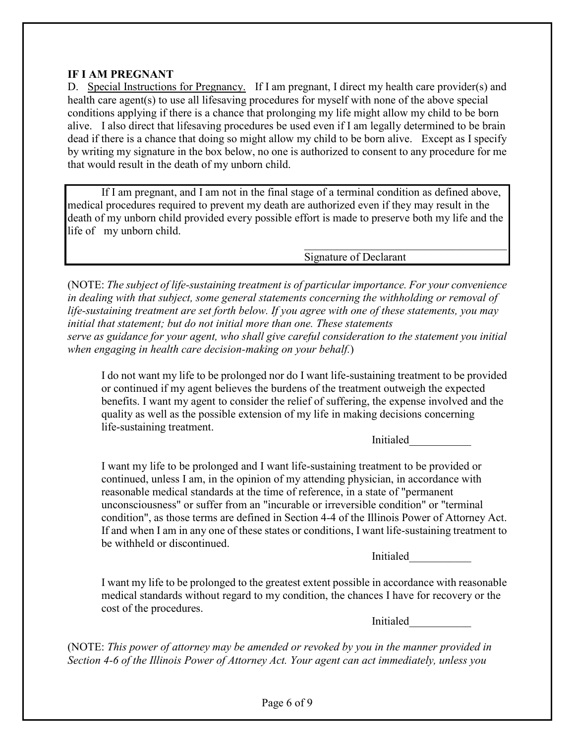## **IF I AM PREGNANT**

D. Special Instructions for Pregnancy. If I am pregnant, I direct my health care provider(s) and health care agent(s) to use all lifesaving procedures for myself with none of the above special conditions applying if there is a chance that prolonging my life might allow my child to be born alive. I also direct that lifesaving procedures be used even if I am legally determined to be brain dead if there is a chance that doing so might allow my child to be born alive. Except as I specify by writing my signature in the box below, no one is authorized to consent to any procedure for me that would result in the death of my unborn child.

If I am pregnant, and I am not in the final stage of a terminal condition as defined above, medical procedures required to prevent my death are authorized even if they may result in the death of my unborn child provided every possible effort is made to preserve both my life and the life of my unborn child.

Signature of Declarant

(NOTE: *The subject of life-sustaining treatment is of particular importance. For your convenience in dealing with that subject, some general statements concerning the withholding or removal of life-sustaining treatment are set forth below. If you agree with one of these statements, you may initial that statement; but do not initial more than one. These statements serve as guidance for your agent, who shall give careful consideration to the statement you initial when engaging in health care decision-making on your behalf.*)

I do not want my life to be prolonged nor do I want life-sustaining treatment to be provided or continued if my agent believes the burdens of the treatment outweigh the expected benefits. I want my agent to consider the relief of suffering, the expense involved and the quality as well as the possible extension of my life in making decisions concerning life-sustaining treatment.

Initialed

 $\mathcal{L}_\text{max}$  , where  $\mathcal{L}_\text{max}$  and  $\mathcal{L}_\text{max}$  and  $\mathcal{L}_\text{max}$ 

I want my life to be prolonged and I want life-sustaining treatment to be provided or continued, unless I am, in the opinion of my attending physician, in accordance with reasonable medical standards at the time of reference, in a state of "permanent unconsciousness" or suffer from an "incurable or irreversible condition" or "terminal condition", as those terms are defined in Section 4-4 of the Illinois Power of Attorney Act. If and when I am in any one of these states or conditions, I want life-sustaining treatment to be withheld or discontinued.

Initialed\_\_\_\_\_\_\_\_\_\_\_

I want my life to be prolonged to the greatest extent possible in accordance with reasonable medical standards without regard to my condition, the chances I have for recovery or the cost of the procedures.

Initialed\_\_\_\_\_\_\_\_\_\_\_

(NOTE: *This power of attorney may be amended or revoked by you in the manner provided in Section 4-6 of the Illinois Power of Attorney Act. Your agent can act immediately, unless you*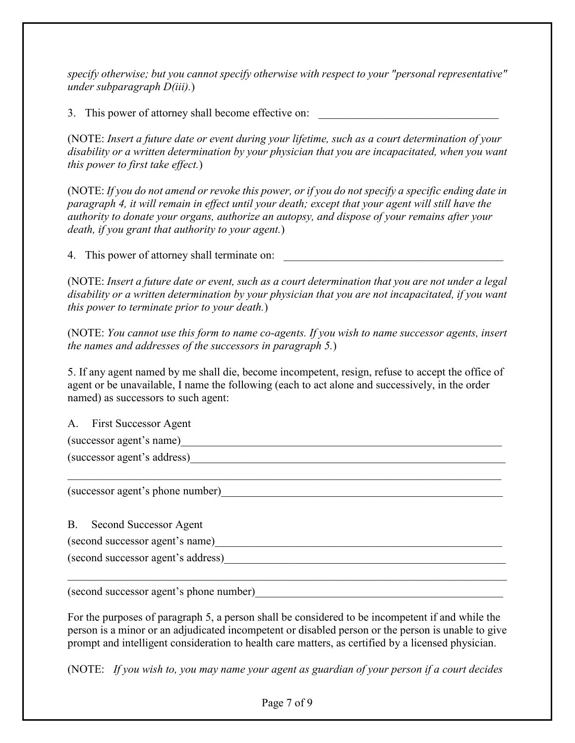*specify otherwise; but you cannot specify otherwise with respect to your "personal representative" under subparagraph D(iii).*)

3. This power of attorney shall become effective on:

(NOTE: *Insert a future date or event during your lifetime, such as a court determination of your disability or a written determination by your physician that you are incapacitated, when you want this power to first take effect.*)

(NOTE: *If you do not amend or revoke this power, or if you do not specify a specific ending date in paragraph 4, it will remain in effect until your death; except that your agent will still have the authority to donate your organs, authorize an autopsy, and dispose of your remains after your death, if you grant that authority to your agent.*)

4. This power of attorney shall terminate on:

(NOTE: *Insert a future date or event, such as a court determination that you are not under a legal disability or a written determination by your physician that you are not incapacitated, if you want this power to terminate prior to your death.*)

(NOTE: *You cannot use this form to name co-agents. If you wish to name successor agents, insert the names and addresses of the successors in paragraph 5.*)

5. If any agent named by me shall die, become incompetent, resign, refuse to accept the office of agent or be unavailable, I name the following (each to act alone and successively, in the order named) as successors to such agent:

A. First Successor Agent  $(successor agent's name)$ (successor agent's address)  $\mathcal{L}_\mathcal{L} = \{ \mathcal{L}_\mathcal{L} = \{ \mathcal{L}_\mathcal{L} = \{ \mathcal{L}_\mathcal{L} = \{ \mathcal{L}_\mathcal{L} = \{ \mathcal{L}_\mathcal{L} = \{ \mathcal{L}_\mathcal{L} = \{ \mathcal{L}_\mathcal{L} = \{ \mathcal{L}_\mathcal{L} = \{ \mathcal{L}_\mathcal{L} = \{ \mathcal{L}_\mathcal{L} = \{ \mathcal{L}_\mathcal{L} = \{ \mathcal{L}_\mathcal{L} = \{ \mathcal{L}_\mathcal{L} = \{ \mathcal{L}_\mathcal{$ (successor agent's phone number)\_\_\_\_\_\_\_\_\_\_\_\_\_\_\_\_\_\_\_\_\_\_\_\_\_\_\_\_\_\_\_\_\_\_\_\_\_\_\_\_\_\_\_\_\_\_\_\_\_\_ B. Second Successor Agent (second successor agent's name) (second successor agent's address)\_\_\_\_\_\_\_\_\_\_\_\_\_\_\_\_\_\_\_\_\_\_\_\_\_\_\_\_\_\_\_\_\_\_\_\_\_\_\_\_\_\_\_\_\_\_\_\_\_\_

(second successor agent's phone number)\_\_\_\_\_\_\_\_\_\_\_\_\_\_\_\_\_\_\_\_\_\_\_\_\_\_\_\_\_\_\_\_\_\_\_\_\_\_\_\_\_\_\_\_

For the purposes of paragraph 5, a person shall be considered to be incompetent if and while the person is a minor or an adjudicated incompetent or disabled person or the person is unable to give prompt and intelligent consideration to health care matters, as certified by a licensed physician.

 $\mathcal{L}_\mathcal{L} = \{ \mathcal{L}_\mathcal{L} = \{ \mathcal{L}_\mathcal{L} = \{ \mathcal{L}_\mathcal{L} = \{ \mathcal{L}_\mathcal{L} = \{ \mathcal{L}_\mathcal{L} = \{ \mathcal{L}_\mathcal{L} = \{ \mathcal{L}_\mathcal{L} = \{ \mathcal{L}_\mathcal{L} = \{ \mathcal{L}_\mathcal{L} = \{ \mathcal{L}_\mathcal{L} = \{ \mathcal{L}_\mathcal{L} = \{ \mathcal{L}_\mathcal{L} = \{ \mathcal{L}_\mathcal{L} = \{ \mathcal{L}_\mathcal{$ 

(NOTE: *If you wish to, you may name your agent as guardian of your person if a court decides*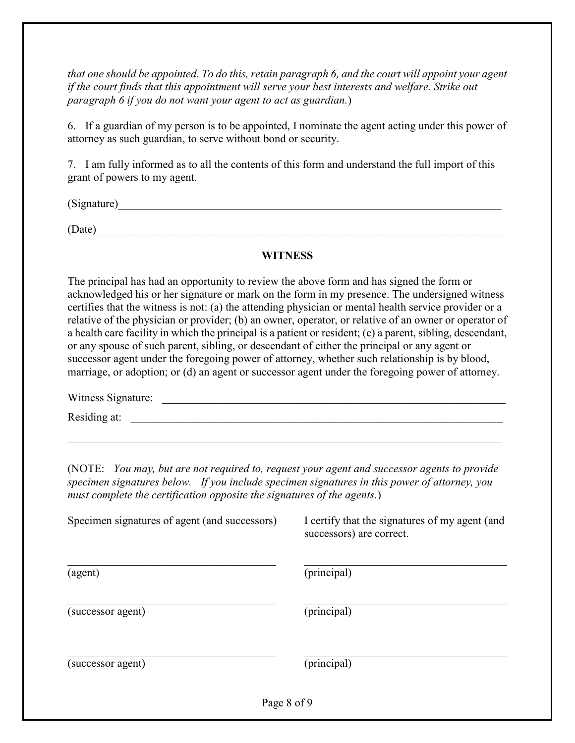*that one should be appointed. To do this, retain paragraph 6, and the court will appoint your agent if the court finds that this appointment will serve your best interests and welfare. Strike out paragraph 6 if you do not want your agent to act as guardian.*)

6. If a guardian of my person is to be appointed, I nominate the agent acting under this power of attorney as such guardian, to serve without bond or security.

7. I am fully informed as to all the contents of this form and understand the full import of this grant of powers to my agent.

 $(Signature)$ 

 $(Date)$ 

# **WITNESS**

The principal has had an opportunity to review the above form and has signed the form or acknowledged his or her signature or mark on the form in my presence. The undersigned witness certifies that the witness is not: (a) the attending physician or mental health service provider or a relative of the physician or provider; (b) an owner, operator, or relative of an owner or operator of a health care facility in which the principal is a patient or resident; (c) a parent, sibling, descendant, or any spouse of such parent, sibling, or descendant of either the principal or any agent or successor agent under the foregoing power of attorney, whether such relationship is by blood, marriage, or adoption; or (d) an agent or successor agent under the foregoing power of attorney.

Witness Signature: \_\_\_\_\_\_\_\_\_\_\_\_\_\_\_\_\_\_\_\_\_\_\_\_\_\_\_\_\_\_\_\_\_\_\_\_\_\_\_\_\_\_\_\_\_\_\_\_\_\_\_\_\_\_\_\_\_\_\_\_\_

Residing at: \_\_\_\_\_\_\_\_\_\_\_\_\_\_\_\_\_\_\_\_\_\_\_\_\_\_\_\_\_\_\_\_\_\_\_\_\_\_\_\_\_\_\_\_\_\_\_\_\_\_\_\_\_\_\_\_\_\_\_\_\_\_\_\_\_\_

(NOTE: *You may, but are not required to, request your agent and successor agents to provide specimen signatures below. If you include specimen signatures in this power of attorney, you must complete the certification opposite the signatures of the agents.*)

 $\mathcal{L}_\mathcal{L} = \{ \mathcal{L}_\mathcal{L} = \{ \mathcal{L}_\mathcal{L} = \{ \mathcal{L}_\mathcal{L} = \{ \mathcal{L}_\mathcal{L} = \{ \mathcal{L}_\mathcal{L} = \{ \mathcal{L}_\mathcal{L} = \{ \mathcal{L}_\mathcal{L} = \{ \mathcal{L}_\mathcal{L} = \{ \mathcal{L}_\mathcal{L} = \{ \mathcal{L}_\mathcal{L} = \{ \mathcal{L}_\mathcal{L} = \{ \mathcal{L}_\mathcal{L} = \{ \mathcal{L}_\mathcal{L} = \{ \mathcal{L}_\mathcal{$ 

| Specimen signatures of agent (and successors) | I certify that the signatures of my agent (and<br>successors) are correct. |
|-----------------------------------------------|----------------------------------------------------------------------------|
| (agent)                                       | (principal)                                                                |
| (successor agent)                             | (principal)                                                                |
| (successor agent)                             | (principal)                                                                |